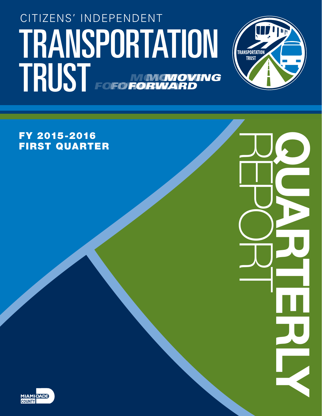# TRANSPORTATION (TRANSPORTATION Citizens' Independent TRUST FOFO NONGNOVING *forward moving forward moving forward*



Repo Quarterly rt

FY 2015-2016 First Quarter

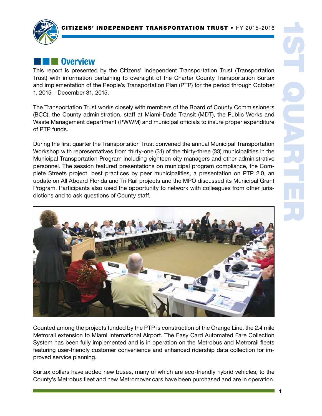

# **External Overview**

This report is presented by the Citizens' Independent Transportation Trust (Transportation Trust) with information pertaining to oversight of the Charter County Transportation Surtax and implementation of the People's Transportation Plan (PTP) for the period through October 1, 2015 – December 31, 2015.

The Transportation Trust works closely with members of the Board of County Commissioners (BCC), the County administration, staff at Miami-Dade Transit (MDT), the Public Works and Waste Management department (PWWM) and municipal officials to insure proper expenditure of PTP funds.

During the first quarter the Transportation Trust convened the annual Municipal Transportation Workshop with representatives from thirty-one (31) of the thirty-three (33) municipalities in the Municipal Transportation Program including eighteen city managers and other administrative personnel. The session featured presentations on municipal program compliance, the Complete Streets project, best practices by peer municipalities, a presentation on PTP 2.0, an update on All Aboard Florida and Tri Rail projects and the MPO discussed its Municipal Grant Program. Participants also used the opportunity to network with colleagues from other jurisdictions and to ask questions of County staff.



Counted among the projects funded by the PTP is construction of the Orange Line, the 2.4 mile Metrorail extension to Miami International Airport. The Easy Card Automated Fare Collection System has been fully implemented and is in operation on the Metrobus and Metrorail fleets featuring user-friendly customer convenience and enhanced ridership data collection for improved service planning.

Surtax dollars have added new buses, many of which are eco-friendly hybrid vehicles, to the County's Metrobus fleet and new Metromover cars have been purchased and are in operation.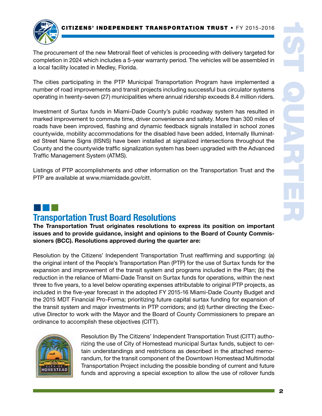

The procurement of the new Metrorail fleet of vehicles is proceeding with delivery targeted for completion in 2024 which includes a 5-year warranty period. The vehicles will be assembled in a local facility located in Medley, Florida.

The cities participating in the PTP Municipal Transportation Program have implemented a number of road improvements and transit projects including successful bus circulator systems operating in twenty-seven (27) municipalities where annual ridership exceeds 8.4 million riders.

Investment of Surtax funds in Miami-Dade County's public roadway system has resulted in marked improvement to commute time, driver convenience and safety. More than 300 miles of roads have been improved, flashing and dynamic feedback signals installed in school zones countywide, mobility accommodations for the disabled have been added, Internally Illuminated Street Name Signs (IISNS) have been installed at signalized intersections throughout the County and the countywide traffic signalization system has been upgraded with the Advanced Traffic Management System (ATMS).

Listings of PTP accomplishments and other information on the Transportation Trust and the PTP are available at www.miamidade.gov/citt.

### ¢¢¢ Transportation Trust Board Resolutions

The Transportation Trust originates resolutions to express its position on important issues and to provide guidance, insight and opinions to the Board of County Commissioners (BCC). Resolutions approved during the quarter are:

Resolution by the Citizens' Independent Transportation Trust reaffirming and supporting: (a) the original intent of the People's Transportation Plan (PTP) for the use of Surtax funds for the expansion and improvement of the transit system and programs included in the Plan; (b) the reduction in the reliance of Miami-Dade Transit on Surtax funds for operations, within the next three to five years, to a level below operating expenses attributable to original PTP projects, as included in the five-year forecast in the adopted FY 2015-16 Miami-Dade County Budget and the 2015 MDT Financial Pro-Forma; prioritizing future capital surtax funding for expansion of the transit system and major investments in PTP corridors; and (d) further directing the Executive Director to work with the Mayor and the Board of County Commissioners to prepare an ordinance to accomplish these objectives (CITT).



Resolution By The Citizens' Independent Transportation Trust (CITT) authorizing the use of City of Homestead municipal Surtax funds, subject to certain understandings and restrictions as described in the attached memorandum, for the transit component of the Downtown Homestead Multimodal Transportation Project including the possible bonding of current and future funds and approving a special exception to allow the use of rollover funds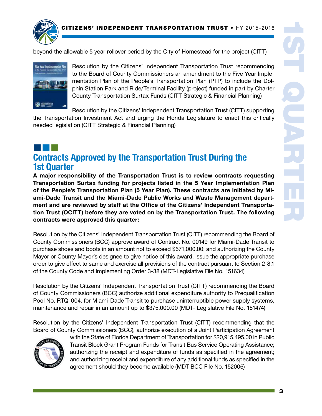

beyond the allowable 5 year rollover period by the City of Homestead for the project (CITT)



Resolution by the Citizens' Independent Transportation Trust recommending to the Board of County Commissioners an amendment to the Five Year Implementation Plan of the People's Transportation Plan (PTP) to include the Dolphin Station Park and Ride/Terminal Facility (project) funded in part by Charter County Transportation Surtax Funds (CITT Strategic & Financial Planning)

Resolution by the Citizens' Independent Transportation Trust (CITT) supporting the Transportation Investment Act and urging the Florida Legislature to enact this critically needed legislation (CITT Strategic & Financial Planning)

### ¢¢¢ Contracts Approved by the Transportation Trust During the 1st Quarter

A major responsibility of the Transportation Trust is to review contracts requesting Transportation Surtax funding for projects listed in the 5 Year Implementation Plan of the People's Transportation Plan (5 Year Plan). These contracts are initiated by Miami-Dade Transit and the Miami-Dade Public Works and Waste Management department and are reviewed by staff at the Office of the Citizens' Independent Transportation Trust (OCITT) before they are voted on by the Transportation Trust. The following contracts were approved this quarter:

Resolution by the Citizens' Independent Transportation Trust (CITT) recommending the Board of County Commissioners (BCC) approve award of Contract No. 00149 for Miami-Dade Transit to purchase shoes and boots in an amount not to exceed \$671,000.00; and authorizing the County Mayor or County Mayor's designee to give notice of this award, issue the appropriate purchase order to give effect to same and exercise all provisions of the contract pursuant to Section 2-8.1 of the County Code and Implementing Order 3-38 (MDT-Legislative File No. 151634)

Resolution by the Citizens' Independent Transportation Trust (CITT) recommending the Board of County Commissioners (BCC) authorize additional expenditure authority to Prequalification Pool No. RTQ-004. for Miami-Dade Transit to purchase uninterruptible power supply systems, maintenance and repair in an amount up to \$375,000.00 (MDT- Legislative File No. 151474)

Resolution by the Citizens' Independent Transportation Trust (CITT) recommending that the Board of County Commissioners (BCC), authorize execution of a Joint Participation Agreement



with the State of Florida Department of Transportation for \$20,915,495.00 in Public Transit Block Grant Program Funds for Transit Bus Service Operating Assistance; authorizing the receipt and expenditure of funds as specified in the agreement; and authorizing receipt and expenditure of any additional funds as specified in the agreement should they become available (MDT BCC File No. 152006)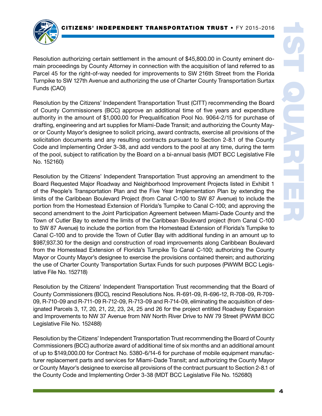

Resolution authorizing certain settlement in the amount of \$45,800.00 in County eminent domain proceedings by County Attorney in connection with the acquisition of land referred to as Parcel 45 for the right-of-way needed for improvements to SW 216th Street from the Florida Turnpike to SW 127th Avenue and authorizing the use of Charter County Transportation Surtax Funds (CAO)

Resolution by the Citizens' Independent Transportation Trust (CITT) recommending the Board of County Commissioners (BCC) approve an additional time of five years and expenditure authority in the amount of \$1,000.00 for Prequalification Pool No. 9064-2/15 for purchase of drafting, engineering and art supplies for Miami-Dade Transit; and authorizing the County Mayor or County Mayor's designee to solicit pricing, award contracts, exercise all provisions of the solicitation documents and any resulting contracts pursuant to Section 2-8.1 of the County Code and Implementing Order 3-38, and add vendors to the pool at any time, during the term of the pool, subject to ratification by the Board on a bi-annual basis (MDT BCC Legislative File No. 152160)

Resolution by the Citizens' Independent Transportation Trust approving an amendment to the Board Requested Major Roadway and Neighborhood Improvement Projects listed in Exhibit 1 of the People's Transportation Plan and the Five Year Implementation Plan by extending the limits of the Caribbean Boulevard Project (from Canal C-100 to SW 87 Avenue) to include the portion from the Homestead Extension of Florida's Turnpike to Canal C-100; and approving the second amendment to the Joint Participation Agreement between Miami-Dade County and the Town of Cutler Bay to extend the limits of the Caribbean Boulevard project (from Canal C-100 to SW 87 Avenue) to include the portion from the Homestead Extension of Florida's Turnpike to Canal C-100 and to provide the Town of Cutler Bay with additional funding in an amount up to \$987,937.30 for the design and construction of road improvements along Caribbean Boulevard from the Homestead Extension of Florida's Turnpike To Canal C-100; authorizing the County Mayor or County Mayor's designee to exercise the provisions contained therein; and authorizing the use of Charter County Transportation Surtax Funds for such purposes (PWWM BCC Legislative File No. 152718)

Resolution by the Citizens' Independent Transportation Trust recommending that the Board of County Commissioners (BCC), rescind Resolutions Nos. R-691-09, R-696-12, R-708-09, R-709- 09, R-710-09 and R-711-09 R-712-09, R-713-09 and R-714-09, eliminating the acquisition of designated Parcels 3, 17, 20, 21, 22, 23, 24, 25 and 26 for the project entitled Roadway Expansion and Improvements to NW 37 Avenue from NW North River Drive to NW 79 Street (PWWM BCC Legislative File No. 152488)

Resolution by the Citizens' Independent Transportation Trust recommending the Board of County Commissioners (BCC) authorize award of additional time of six months and an additional amount of up to \$149,000.00 for Contract No. 5380-6/14-6 for purchase of mobile equipment manufacturer replacement parts and services for Miami-Dade Transit; and authorizing the County Mayor or County Mayor's designee to exercise all provisions of the contract pursuant to Section 2-8.1 of the County Code and Implementing Order 3-38 (MDT BCC Legislative File No. 152680)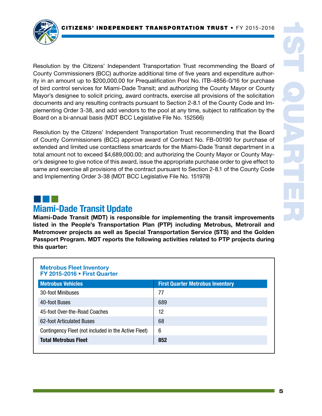

Resolution by the Citizens' Independent Transportation Trust recommending the Board of County Commissioners (BCC) authorize additional time of five years and expenditure authority in an amount up to \$200,000.00 for Prequalification Pool No. ITB-4856-0/16 for purchase of bird control services for Miami-Dade Transit; and authorizing the County Mayor or County Mayor's designee to solicit pricing, award contracts, exercise all provisions of the solicitation documents and any resulting contracts pursuant to Section 2-8.1 of the County Code and Implementing Order 3-38, and add vendors to the pool at any time, subject to ratification by the Board on a bi-annual basis (MDT BCC Legislative File No. 152566)

Resolution by the Citizens' Independent Transportation Trust recommending that the Board of County Commissioners (BCC) approve award of Contract No. FB-00190 for purchase of extended and limited use contactless smartcards for the Miami-Dade Transit department in a total amount not to exceed \$4,689,000.00; and authorizing the County Mayor or County Mayor's designee to give notice of this award, issue the appropriate purchase order to give effect to same and exercise all provisions of the contract pursuant to Section 2-8.1 of the County Code and Implementing Order 3-38 (MDT BCC Legislative File No. 151979)

### ¢¢¢ Miami-Dade Transit Update

Miami-Dade Transit (MDT) is responsible for implementing the transit improvements listed in the People's Transportation Plan (PTP) including Metrobus, Metrorail and Metromover projects as well as Special Transportation Service (STS) and the Golden Passport Program. MDT reports the following activities related to PTP projects during this quarter:

#### Metrobus Fleet Inventory FY 2015-2016 • First Quarter

| <b>Metrobus Vehicles</b>                             | <b>First Quarter Metrobus Inventory</b> |  |  |
|------------------------------------------------------|-----------------------------------------|--|--|
| 30-foot Minibuses                                    | 77                                      |  |  |
| 40-foot Buses                                        | 689                                     |  |  |
| 45-foot Over-the-Road Coaches                        | 12                                      |  |  |
| 62-foot Articulated Buses                            | 68                                      |  |  |
| Contingency Fleet (not included in the Active Fleet) | 6                                       |  |  |
| <b>Total Metrobus Fleet</b>                          | 852                                     |  |  |
|                                                      |                                         |  |  |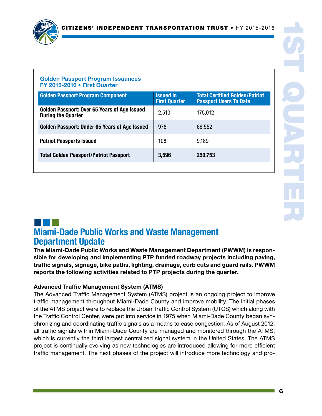

### Golden Passport Program Issuances FY 2015-2016 • First Quarter

| <b>Issued in</b><br><b>First Quarter</b> | <b>Total Certified Golden/Patriot</b><br><b>Passport Users To Date</b> |
|------------------------------------------|------------------------------------------------------------------------|
| 2,510                                    | 175,012                                                                |
| 978                                      | 66,552                                                                 |
| 108                                      | 9,189                                                                  |
| 3,596                                    | 250,753                                                                |
|                                          |                                                                        |

### ¢¢¢ Miami-Dade Public Works and Waste Management Department Update

The Miami-Dade Public Works and Waste Management Department (PWWM) is responsible for developing and implementing PTP funded roadway projects including paving, traffic signals, signage, bike paths, lighting, drainage, curb cuts and guard rails. PWWM reports the following activities related to PTP projects during the quarter.

### Advanced Traffic Management System (ATMS)

The Advanced Traffic Management System (ATMS) project is an ongoing project to improve traffic management throughout Miami-Dade County and improve mobility. The initial phases of the ATMS project were to replace the Urban Traffic Control System (UTCS) which along with the Traffic Control Center, were put into service in 1975 when Miami-Dade County began synchronizing and coordinating traffic signals as a means to ease congestion. As of August 2012, all traffic signals within Miami-Dade County are managed and monitored through the ATMS, which is currently the third largest centralized signal system in the United States. The ATMS project is continually evolving as new technologies are introduced allowing for more efficient traffic management. The next phases of the project will introduce more technology and pro-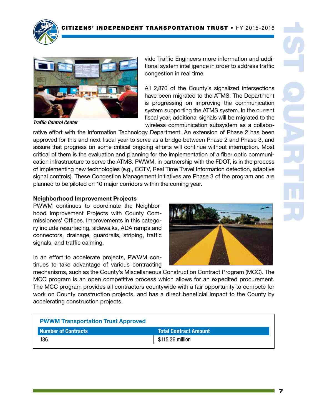

*Traffic Control Center*

vide Traffic Engineers more information and additional system intelligence in order to address traffic congestion in real time.

All 2,870 of the County's signalized intersections have been migrated to the ATMS. The Department is progressing on improving the communication system supporting the ATMS system. In the current fiscal year, additional signals will be migrated to the wireless communication subsystem as a collabo-

rative effort with the Information Technology Department. An extension of Phase 2 has been approved for this and next fiscal year to serve as a bridge between Phase 2 and Phase 3, and assure that progress on some critical ongoing efforts will continue without interruption. Most critical of them is the evaluation and planning for the implementation of a fiber optic communication infrastructure to serve the ATMS. PWWM, in partnership with the FDOT, is in the process of implementing new technologies (e.g., CCTV, Real Time Travel Information detection, adaptive signal controls). These Congestion Management initiatives are Phase 3 of the program and are planned to be piloted on 10 major corridors within the coming year.

### Neighborhood Improvement Projects

PWWM continues to coordinate the Neighborhood Improvement Projects with County Commissioners' Offices. Improvements in this category include resurfacing, sidewalks, ADA ramps and connectors, drainage, guardrails, striping, traffic signals, and traffic calming.



mechanisms, such as the County's Miscellaneous Construction Contract Program (MCC). The MCC program is an open competitive process which allows for an expedited procurement. The MCC program provides all contractors countywide with a fair opportunity to compete for work on County construction projects, and has a direct beneficial impact to the County by accelerating construction projects.

| <b>PWWM Transportation Trust Approved</b> |                              |  |
|-------------------------------------------|------------------------------|--|
| <b>Number of Contracts</b>                | <b>Total Contract Amount</b> |  |
| 136                                       | \$115.36 million             |  |

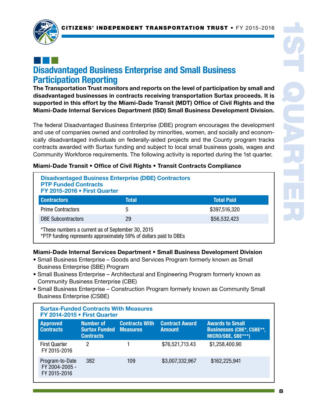

### ¢¢¢ Disadvantaged Business Enterprise and Small Business Participation Reporting

The Transportation Trust monitors and reports on the level of participation by small and disadvantaged businesses in contracts receiving transportation Surtax proceeds. It is supported in this effort by the Miami-Dade Transit (MDT) Office of Civil Rights and the Miami-Dade Internal Services Department (ISD) Small Business Development Division.

The federal Disadvantaged Business Enterprise (DBE) program encourages the development and use of companies owned and controlled by minorities, women, and socially and economically disadvantaged individuals on federally-aided projects and the County program tracks contracts awarded with Surtax funding and subject to local small business goals, wages and Community Workforce requirements. The following activity is reported during the 1st quarter.

### Miami-Dade Transit • Office of Civil Rights • Transit Contracts Compliance

| <b>Disadvantaged Business Enterprise (DBE) Contractors</b><br><b>PTP Funded Contracts</b><br>FY 2015-2016 . First Quarter |              |                   |  |
|---------------------------------------------------------------------------------------------------------------------------|--------------|-------------------|--|
| <b>Contractors</b>                                                                                                        | <b>Total</b> | <b>Total Paid</b> |  |
| <b>Prime Contractors</b>                                                                                                  | 5            | \$397,516,320     |  |
| <b>DBE Subcontractors</b>                                                                                                 | 29           | \$56,532,423      |  |
| *These numbers a current as of Sentember 30, 2015                                                                         |              |                   |  |

ediender 30, 2015

\*PTP funding represents approximately 59% of dollars paid to DBEs

### Miami-Dade Internal Services Department • Small Business Development Division

- Small Business Enterprise Goods and Services Program formerly known as Small Business Enterprise (SBE) Program
- Small Business Enterprise Architectural and Engineering Program formerly known as Community Business Enterprise (CBE)
- Small Business Enterprise Construction Program formerly known as Community Small Business Enterprise (CSBE)

| <b>Surtax-Funded Contracts With Measures</b><br>FY 2014-2015 • First Quarter |                                                                |                       |                                        |                                                                                  |
|------------------------------------------------------------------------------|----------------------------------------------------------------|-----------------------|----------------------------------------|----------------------------------------------------------------------------------|
| <b>Approved</b><br><b>Contracts</b>                                          | Number of<br><b>Surtax Funded Measures</b><br><b>Contracts</b> | <b>Contracts With</b> | <b>Contract Award</b><br><b>Amount</b> | <b>Awards to Small</b><br><b>Businesses (CBE*, CSBE**,</b><br>MICRO/SBE, SBE***) |
| <b>First Quarter</b><br>FY 2015-2016                                         | 2                                                              |                       | \$76,521,713.43                        | \$1,258,400.90                                                                   |
| Program-to-Date<br>FY 2004-2005 -<br>FY 2015-2016                            | 382                                                            | 109                   | \$3,007,332,967                        | \$162,225,941                                                                    |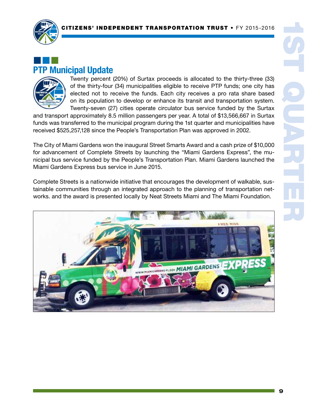

# ¢¢¢ PTP Municipal Update



Twenty percent (20%) of Surtax proceeds is allocated to the thirty-three (33) of the thirty-four (34) municipalities eligible to receive PTP funds; one city has elected not to receive the funds. Each city receives a pro rata share based on its population to develop or enhance its transit and transportation system. Twenty-seven (27) cities operate circulator bus service funded by the Surtax

and transport approximately 8.5 million passengers per year. A total of \$13,566,667 in Surtax funds was transferred to the municipal program during the 1st quarter and municipalities have received \$525,257,128 since the People's Transportation Plan was approved in 2002.

The City of Miami Gardens won the inaugural Street Smarts Award and a cash prize of \$10,000 for advancement of Complete Streets by launching the "Miami Gardens Express", the municipal bus service funded by the People's Transportation Plan. Miami Gardens launched the Miami Gardens Express bus service in June 2015.

Complete Streets is a nationwide initiative that encourages the development of walkable, sustainable communities through an integrated approach to the planning of transportation networks. and the award is presented locally by Neat Streets Miami and The Miami Foundation.

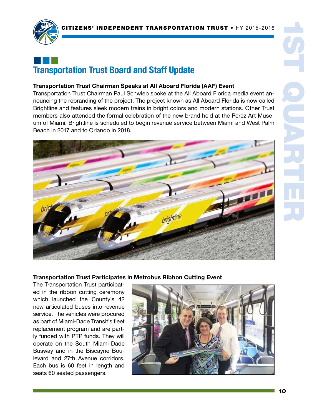

# ¢¢¢ Transportation Trust Board and Staff Update

### Transportation Trust Chairman Speaks at All Aboard Florida (AAF) Event

Transportation Trust Chairman Paul Schwiep spoke at the All Aboard Florida media event announcing the rebranding of the project. The project known as All Aboard Florida is now called Brightline and features sleek modern trains in bright colors and modern stations. Other Trust members also attended the formal celebration of the new brand held at the Perez Art Museum of Miami. Brightline is scheduled to begin revenue service between Miami and West Palm Beach in 2017 and to Orlando in 2018.



Transportation Trust Participates in Metrobus Ribbon Cutting Event

The Transportation Trust participated in the ribbon cutting ceremony which launched the County's 42 new articulated buses into revenue service. The vehicles were procured as part of Miami-Dade Transit's fleet replacement program and are partly funded with PTP funds. They will operate on the South Miami-Dade Busway and in the Biscayne Boulevard and 27th Avenue corridors. Each bus is 60 feet in length and seats 60 seated passengers.

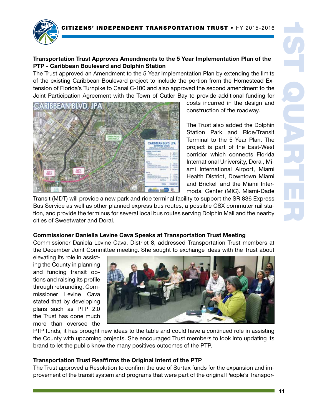

### Transportation Trust Approves Amendments to the 5 Year Implementation Plan of the PTP - Caribbean Boulevard and Dolphin Station

The Trust approved an Amendment to the 5 Year Implementation Plan by extending the limits of the existing Caribbean Boulevard project to include the portion from the Homestead Extension of Florida's Turnpike to Canal C-100 and also approved the second amendment to the Joint Participation Agreement with the Town of Cutler Bay to provide additional funding for



costs incurred in the design and construction of the roadway.

The Trust also added the Dolphin Station Park and Ride/Transit Terminal to the 5 Year Plan. The project is part of the East-West corridor which connects Florida International University, Doral, Miami International Airport, Miami Health District, Downtown Miami and Brickell and the Miami Intermodal Center (MIC). Miami-Dade

Transit (MDT) will provide a new park and ride terminal facility to support the SR 836 Express Bus Service as well as other planned express bus routes, a possible CSX commuter rail station, and provide the terminus for several local bus routes serving Dolphin Mall and the nearby cities of Sweetwater and Doral.

### Commissioner Daniella Levine Cava Speaks at Transportation Trust Meeting

Commissioner Daniela Levine Cava, District 8, addressed Transportation Trust members at the December Joint Committee meeting. She sought to exchange ideas with the Trust about

elevating its role in assisting the County in planning and funding transit options and raising its profile through rebranding. Commissioner Levine Cava stated that by developing plans such as PTP 2.0 the Trust has done much more than oversee the



PTP funds, it has brought new ideas to the table and could have a continued role in assisting the County with upcoming projects. She encouraged Trust members to look into updating its brand to let the public know the many positives outcomes of the PTP.

#### Transportation Trust Reaffirms the Original Intent of the PTP

The Trust approved a Resolution to confirm the use of Surtax funds for the expansion and improvement of the transit system and programs that were part of the original People's Transpor-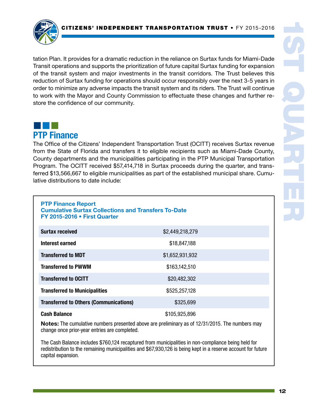

tation Plan. It provides for a dramatic reduction in the reliance on Surtax funds for Miami-Dade Transit operations and supports the prioritization of future capital Surtax funding for expansion of the transit system and major investments in the transit corridors. The Trust believes this reduction of Surtax funding for operations should occur responsibly over the next 3-5 years in order to minimize any adverse impacts the transit system and its riders. The Trust will continue to work with the Mayor and County Commission to effectuate these changes and further restore the confidence of our community.



The Office of the Citizens' Independent Transportation Trust (OCITT) receives Surtax revenue from the State of Florida and transfers it to eligible recipients such as Miami-Dade County, County departments and the municipalities participating in the PTP Municipal Transportation Program. The OCITT received \$57,414,718 in Surtax proceeds during the quarter, and transferred \$13,566,667 to eligible municipalities as part of the established municipal share. Cumulative distributions to date include:

| <b>PTP Finance Report</b>                                  |
|------------------------------------------------------------|
| <b>Cumulative Surtax Collections and Transfers To-Date</b> |
| FY 2015-2016 . First Quarter                               |

| <b>Surtax received</b>                        | \$2,449,218,279 |  |
|-----------------------------------------------|-----------------|--|
| Interest earned                               | \$18,847,188    |  |
| <b>Transferred to MDT</b>                     | \$1,652,931,932 |  |
| <b>Transferred to PWWM</b>                    | \$163,142,510   |  |
| <b>Transferred to OCITT</b>                   | \$20,482,302    |  |
| <b>Transferred to Municipalities</b>          | \$525,257,128   |  |
| <b>Transferred to Others (Communications)</b> | \$325,699       |  |
| <b>Cash Balance</b>                           | \$105,925,896   |  |

Notes: The cumulative numbers presented above are preliminary as of 12/31/2015. The numbers may change once prior-year entries are completed.

The Cash Balance includes \$760,124 recaptured from municipalities in non-compliance being held for redistribution to the remaining municipalities and \$67,930,126 is being kept in a reserve account for future capital expansion.